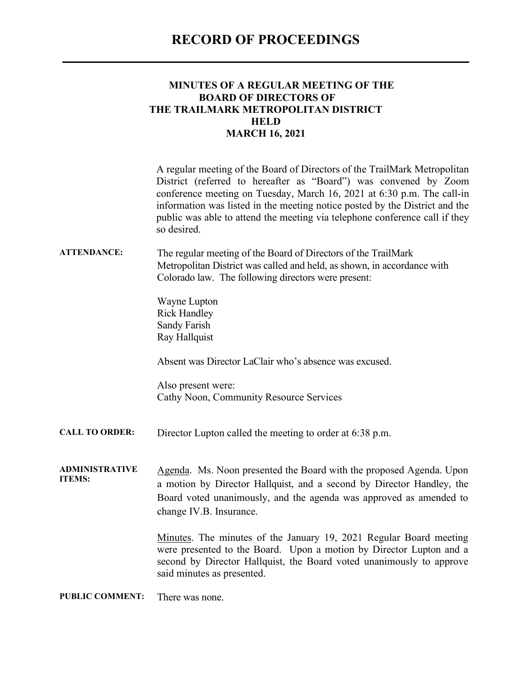## **RECORD OF PROCEEDINGS**

## **MINUTES OF A REGULAR MEETING OF THE BOARD OF DIRECTORS OF THE TRAILMARK METROPOLITAN DISTRICT HELD MARCH 16, 2021**

A regular meeting of the Board of Directors of the TrailMark Metropolitan District (referred to hereafter as "Board") was convened by Zoom conference meeting on Tuesday, March 16, 2021 at 6:30 p.m. The call-in information was listed in the meeting notice posted by the District and the public was able to attend the meeting via telephone conference call if they so desired.

## **ATTENDANCE:** The regular meeting of the Board of Directors of the TrailMark Metropolitan District was called and held, as shown, in accordance with Colorado law. The following directors were present:

Wayne Lupton Rick Handley Sandy Farish May 2022 May 2022 May 2022 May 2022 May 2022 May 2022 May 2022 May 2022 May 2022 May 2022 May 202 Ray Hallquist

Absent was Director LaClair who's absence was excused.

Also present were: Cathy Noon, Community Resource Services

**CALL TO ORDER:** Director Lupton called the meeting to order at 6:38 p.m.

**ADMINISTRATIVE ITEMS:** Agenda. Ms. Noon presented the Board with the proposed Agenda. Upon a motion by Director Hallquist, and a second by Director Handley, the Board voted unanimously, and the agenda was approved as amended to change IV.B. Insurance.

> Minutes. The minutes of the January 19, 2021 Regular Board meeting were presented to the Board. Upon a motion by Director Lupton and a second by Director Hallquist, the Board voted unanimously to approve said minutes as presented.

**PUBLIC COMMENT:** There was none.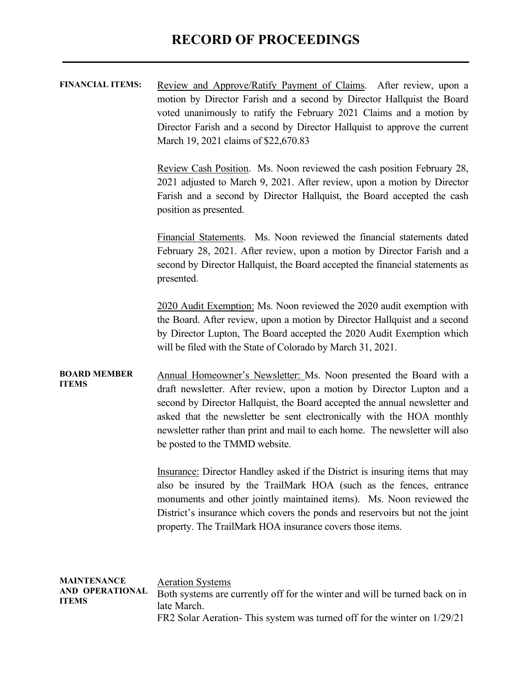| <b>FINANCIAL ITEMS:</b> | Review and Approve/Ratify Payment of Claims. After review, upon a         |
|-------------------------|---------------------------------------------------------------------------|
|                         | motion by Director Farish and a second by Director Hallquist the Board    |
|                         | voted unanimously to ratify the February 2021 Claims and a motion by      |
|                         | Director Farish and a second by Director Hallquist to approve the current |
|                         | March 19, 2021 claims of \$22,670.83                                      |

Review Cash Position. Ms. Noon reviewed the cash position February 28, 2021 adjusted to March 9, 2021. After review, upon a motion by Director Farish and a second by Director Hallquist, the Board accepted the cash position as presented.

Financial Statements. Ms. Noon reviewed the financial statements dated February 28, 2021. After review, upon a motion by Director Farish and a second by Director Hallquist, the Board accepted the financial statements as presented.

2020 Audit Exemption: Ms. Noon reviewed the 2020 audit exemption with the Board. After review, upon a motion by Director Hallquist and a second by Director Lupton, The Board accepted the 2020 Audit Exemption which will be filed with the State of Colorado by March 31, 2021.

**BOARD MEMBER ITEMS** Annual Homeowner's Newsletter: Ms. Noon presented the Board with a draft newsletter. After review, upon a motion by Director Lupton and a second by Director Hallquist, the Board accepted the annual newsletter and asked that the newsletter be sent electronically with the HOA monthly newsletter rather than print and mail to each home. The newsletter will also be posted to the TMMD website.

> Insurance: Director Handley asked if the District is insuring items that may also be insured by the TrailMark HOA (such as the fences, entrance monuments and other jointly maintained items). Ms. Noon reviewed the District's insurance which covers the ponds and reservoirs but not the joint property. The TrailMark HOA insurance covers those items.

| MAINTENANCE<br>AND OPERATIONAL<br><b>ITEMS</b> | <b>Aeration Systems</b>                                                     |
|------------------------------------------------|-----------------------------------------------------------------------------|
|                                                | Both systems are currently off for the winter and will be turned back on in |
|                                                | late March.                                                                 |
|                                                | FR2 Solar Aeration-This system was turned off for the winter on 1/29/21     |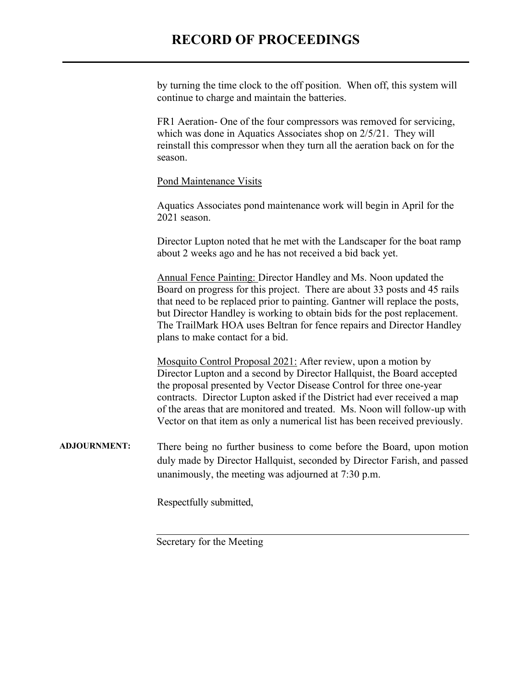## **RECORD OF PROCEEDINGS**

by turning the time clock to the off position. When off, this system will continue to charge and maintain the batteries.

FR1 Aeration- One of the four compressors was removed for servicing, which was done in Aquatics Associates shop on 2/5/21. They will reinstall this compressor when they turn all the aeration back on for the season.

Pond Maintenance Visits

Aquatics Associates pond maintenance work will begin in April for the 2021 season.

Director Lupton noted that he met with the Landscaper for the boat ramp about 2 weeks ago and he has not received a bid back yet.

Annual Fence Painting: Director Handley and Ms. Noon updated the Board on progress for this project. There are about 33 posts and 45 rails that need to be replaced prior to painting. Gantner will replace the posts, but Director Handley is working to obtain bids for the post replacement. The TrailMark HOA uses Beltran for fence repairs and Director Handley plans to make contact for a bid.

Mosquito Control Proposal 2021: After review, upon a motion by Director Lupton and a second by Director Hallquist, the Board accepted the proposal presented by Vector Disease Control for three one-year contracts. Director Lupton asked if the District had ever received a map of the areas that are monitored and treated. Ms. Noon will follow-up with Vector on that item as only a numerical list has been received previously.

**ADJOURNMENT:** There being no further business to come before the Board, upon motion duly made by Director Hallquist, seconded by Director Farish, and passed unanimously, the meeting was adjourned at 7:30 p.m.

Respectfully submitted,

Secretary for the Meeting